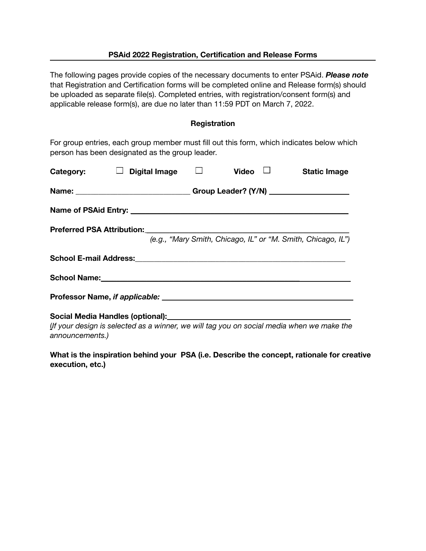### **PSAid 2022 Registration, Certification and Release Forms**

The following pages provide copies of the necessary documents to enter PSAid. *Please note* that Registration and Certification forms will be completed online and Release form(s) should be uploaded as separate file(s). Completed entries, with registration/consent form(s) and applicable release form(s), are due no later than 11:59 PDT on March 7, 2022.

### **Registration**

For group entries, each group member must fill out this form, which indicates below which person has been designated as the group leader.

| Category:       | Digital Image $\Box$                                                                     |  | Video | <b>Static Image</b>                                          |
|-----------------|------------------------------------------------------------------------------------------|--|-------|--------------------------------------------------------------|
|                 | Name: __________________________________Group Leader? (Y/N) ____________________         |  |       |                                                              |
|                 |                                                                                          |  |       |                                                              |
|                 |                                                                                          |  |       | (e.g., "Mary Smith, Chicago, IL" or "M. Smith, Chicago, IL") |
|                 |                                                                                          |  |       |                                                              |
|                 |                                                                                          |  |       |                                                              |
|                 |                                                                                          |  |       |                                                              |
| announcements.) | If your design is selected as a winner, we will tag you on social media when we make the |  |       |                                                              |

**What is the inspiration behind your PSA (i.e. Describe the concept, rationale for creative execution, etc.)**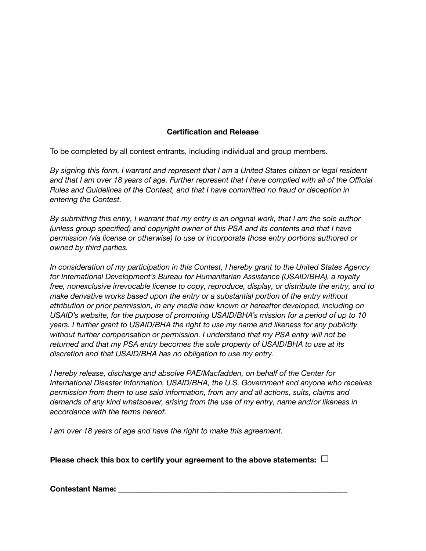# **Certification and Release**

To be completed by all contest entrants, including individual and group members.

*By signing this form, I warrant and represent that I am a United States citizen or legal resident* and that I am over 18 years of age. Further represent that I have complied with all of the Official *Rules and Guidelines of the Contest, and that I have committed no fraud or deception in entering the Contest.*

By submitting this entry. I warrant that my entry is an original work, that I am the sole author *(unless group specified) and copyright owner of this PSA and its contents and that I have permission (via license or otherwise) to use or incorporate those entry portions authored or owned by third parties.*

*In consideration of my participation in this Contest, I hereby grant to the United States Agency for International Development's Bureau for Humanitarian Assistance (USAID/BHA), a royalty free, nonexclusive irrevocable license to copy, reproduce, display, or distribute the entry, and to make derivative works based upon the entry or a substantial portion of the entry without attribution or prior permission, in any media now known or hereafter developed, including on USAID's website, for the purpose of promoting USAID/BHA's mission for a period of up to 10 years. I further grant to USAID/BHA the right to use my name and likeness for any publicity without further compensation or permission. I understand that my PSA entry will not be returned and that my PSA entry becomes the sole property of USAID/BHA to use at its discretion and that USAID/BHA has no obligation to use my entry.*

*I hereby release, discharge and absolve PAE/Macfadden, on behalf of the Center for International Disaster Information, USAID/BHA, the U.S. Government and anyone who receives permission from them to use said information, from any and all actions, suits, claims and demands of any kind whatsoever, arising from the use of my entry, name and/or likeness in accordance with the terms hereof.*

*I am over 18 years of age and have the right to make this agreement.*

**Please check this box to certify your agreement to the above statements:**

**Contestant Name: Contestant Name: Contestant Name: Contestant Name: Contestant Name: Contestant Name: Contestant Name: Contestant Name: Contestant Name: Contestant Name: Contestant**